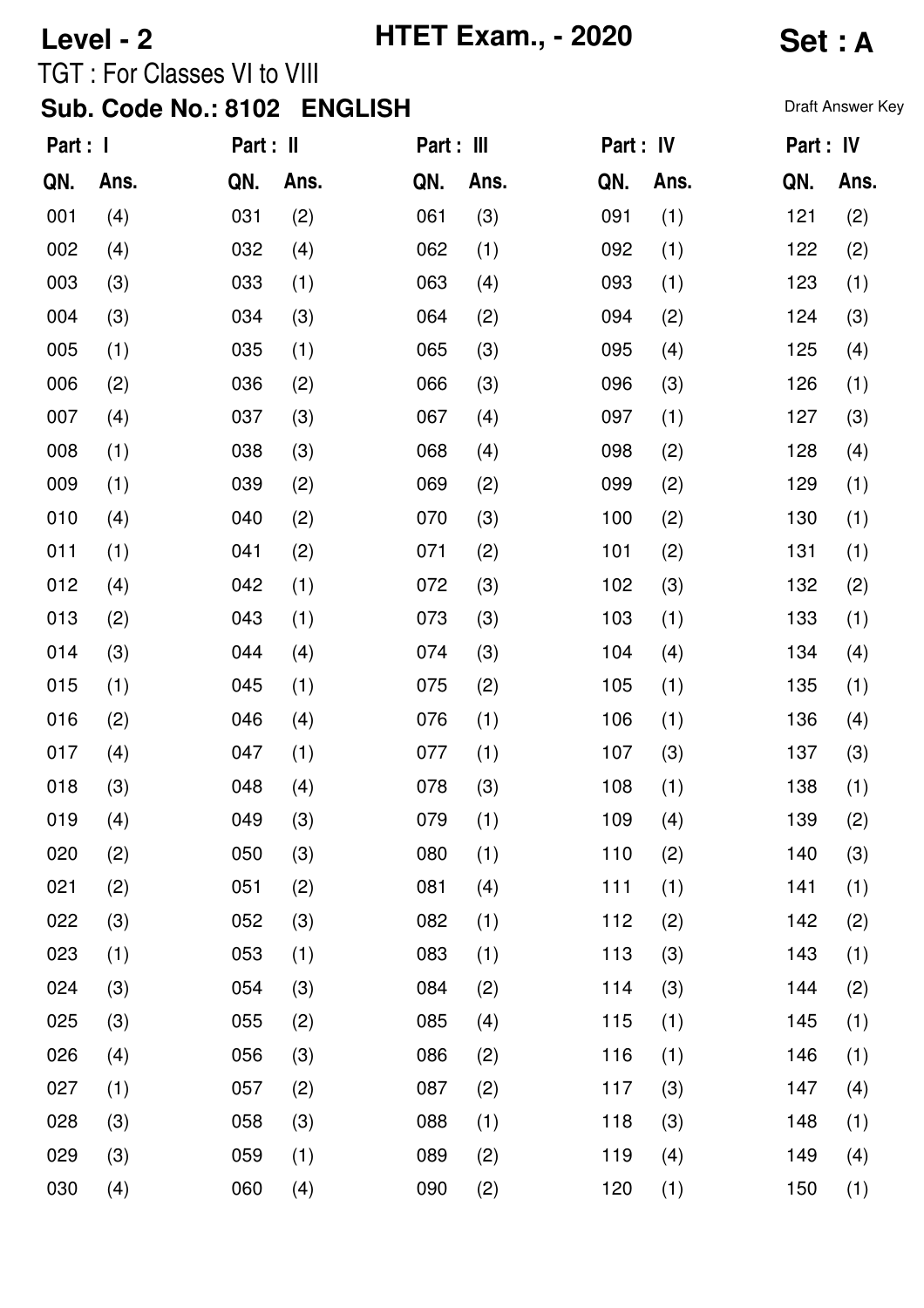## **Level - 2 HTET Exam., - 2020 Set : A** TGT : For Classes VI to VIII

## **Sub. Code No.: 8102 ENGLISH** Draft Answer Key

| Part : I |      | Part : II |      | Part : III |      | Part : IV |      | Part : IV |      |
|----------|------|-----------|------|------------|------|-----------|------|-----------|------|
| QN.      | Ans. | QN.       | Ans. | QN.        | Ans. | QN.       | Ans. | QN.       | Ans. |
| 001      | (4)  | 031       | (2)  | 061        | (3)  | 091       | (1)  | 121       | (2)  |
| 002      | (4)  | 032       | (4)  | 062        | (1)  | 092       | (1)  | 122       | (2)  |
| 003      | (3)  | 033       | (1)  | 063        | (4)  | 093       | (1)  | 123       | (1)  |
| 004      | (3)  | 034       | (3)  | 064        | (2)  | 094       | (2)  | 124       | (3)  |
| 005      | (1)  | 035       | (1)  | 065        | (3)  | 095       | (4)  | 125       | (4)  |
| 006      | (2)  | 036       | (2)  | 066        | (3)  | 096       | (3)  | 126       | (1)  |
| 007      | (4)  | 037       | (3)  | 067        | (4)  | 097       | (1)  | 127       | (3)  |
| 008      | (1)  | 038       | (3)  | 068        | (4)  | 098       | (2)  | 128       | (4)  |
| 009      | (1)  | 039       | (2)  | 069        | (2)  | 099       | (2)  | 129       | (1)  |
| 010      | (4)  | 040       | (2)  | 070        | (3)  | 100       | (2)  | 130       | (1)  |
| 011      | (1)  | 041       | (2)  | 071        | (2)  | 101       | (2)  | 131       | (1)  |
| 012      | (4)  | 042       | (1)  | 072        | (3)  | 102       | (3)  | 132       | (2)  |
| 013      | (2)  | 043       | (1)  | 073        | (3)  | 103       | (1)  | 133       | (1)  |
| 014      | (3)  | 044       | (4)  | 074        | (3)  | 104       | (4)  | 134       | (4)  |
| 015      | (1)  | 045       | (1)  | 075        | (2)  | 105       | (1)  | 135       | (1)  |
| 016      | (2)  | 046       | (4)  | 076        | (1)  | 106       | (1)  | 136       | (4)  |
| 017      | (4)  | 047       | (1)  | 077        | (1)  | 107       | (3)  | 137       | (3)  |
| 018      | (3)  | 048       | (4)  | 078        | (3)  | 108       | (1)  | 138       | (1)  |
| 019      | (4)  | 049       | (3)  | 079        | (1)  | 109       | (4)  | 139       | (2)  |
| 020      | (2)  | 050       | (3)  | 080        | (1)  | 110       | (2)  | 140       | (3)  |
| 021      | (2)  | 051       | (2)  | 081        | (4)  | 111       | (1)  | 141       | (1)  |
| 022      | (3)  | 052       | (3)  | 082        | (1)  | 112       | (2)  | 142       | (2)  |
| 023      | (1)  | 053       | (1)  | 083        | (1)  | 113       | (3)  | 143       | (1)  |
| 024      | (3)  | 054       | (3)  | 084        | (2)  | 114       | (3)  | 144       | (2)  |
| 025      | (3)  | 055       | (2)  | 085        | (4)  | 115       | (1)  | 145       | (1)  |
| 026      | (4)  | 056       | (3)  | 086        | (2)  | 116       | (1)  | 146       | (1)  |
| 027      | (1)  | 057       | (2)  | 087        | (2)  | 117       | (3)  | 147       | (4)  |
| 028      | (3)  | 058       | (3)  | 088        | (1)  | 118       | (3)  | 148       | (1)  |
| 029      | (3)  | 059       | (1)  | 089        | (2)  | 119       | (4)  | 149       | (4)  |
| 030      | (4)  | 060       | (4)  | 090        | (2)  | 120       | (1)  | 150       | (1)  |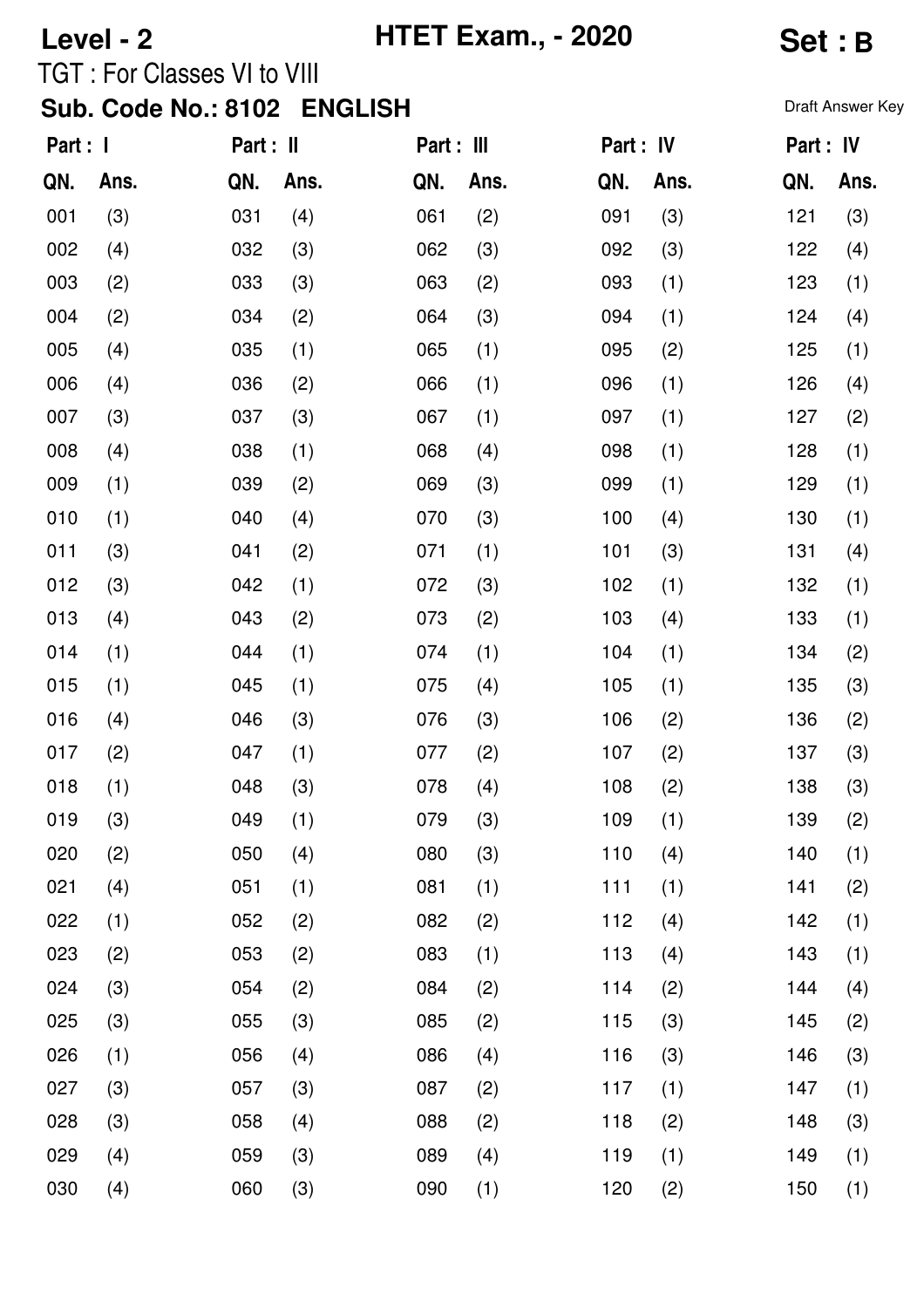# **Level - 2 HTET Exam., - 2020 Set : B** TGT : For Classes VI to VIII

#### Sub. Code No.: 8102 ENGLISH **Sub. Code No.: 8102 ENGLISH**

| Part : I |      | Part : II |      | Part: III |      | Part : IV |      | Part: IV |      |
|----------|------|-----------|------|-----------|------|-----------|------|----------|------|
| QN.      | Ans. | QN.       | Ans. | QN.       | Ans. | QN.       | Ans. | QN.      | Ans. |
| 001      | (3)  | 031       | (4)  | 061       | (2)  | 091       | (3)  | 121      | (3)  |
| 002      | (4)  | 032       | (3)  | 062       | (3)  | 092       | (3)  | 122      | (4)  |
| 003      | (2)  | 033       | (3)  | 063       | (2)  | 093       | (1)  | 123      | (1)  |
| 004      | (2)  | 034       | (2)  | 064       | (3)  | 094       | (1)  | 124      | (4)  |
| 005      | (4)  | 035       | (1)  | 065       | (1)  | 095       | (2)  | 125      | (1)  |
| 006      | (4)  | 036       | (2)  | 066       | (1)  | 096       | (1)  | 126      | (4)  |
| 007      | (3)  | 037       | (3)  | 067       | (1)  | 097       | (1)  | 127      | (2)  |
| 008      | (4)  | 038       | (1)  | 068       | (4)  | 098       | (1)  | 128      | (1)  |
| 009      | (1)  | 039       | (2)  | 069       | (3)  | 099       | (1)  | 129      | (1)  |
| 010      | (1)  | 040       | (4)  | 070       | (3)  | 100       | (4)  | 130      | (1)  |
| 011      | (3)  | 041       | (2)  | 071       | (1)  | 101       | (3)  | 131      | (4)  |
| 012      | (3)  | 042       | (1)  | 072       | (3)  | 102       | (1)  | 132      | (1)  |
| 013      | (4)  | 043       | (2)  | 073       | (2)  | 103       | (4)  | 133      | (1)  |
| 014      | (1)  | 044       | (1)  | 074       | (1)  | 104       | (1)  | 134      | (2)  |
| 015      | (1)  | 045       | (1)  | 075       | (4)  | 105       | (1)  | 135      | (3)  |
| 016      | (4)  | 046       | (3)  | 076       | (3)  | 106       | (2)  | 136      | (2)  |
| 017      | (2)  | 047       | (1)  | 077       | (2)  | 107       | (2)  | 137      | (3)  |
| 018      | (1)  | 048       | (3)  | 078       | (4)  | 108       | (2)  | 138      | (3)  |
| 019      | (3)  | 049       | (1)  | 079       | (3)  | 109       | (1)  | 139      | (2)  |
| 020      | (2)  | 050       | (4)  | 080       | (3)  | 110       | (4)  | 140      | (1)  |
| 021      | (4)  | 051       | (1)  | 081       | (1)  | 111       | (1)  | 141      | (2)  |
| 022      | (1)  | 052       | (2)  | 082       | (2)  | 112       | (4)  | 142      | (1)  |
| 023      | (2)  | 053       | (2)  | 083       | (1)  | 113       | (4)  | 143      | (1)  |
| 024      | (3)  | 054       | (2)  | 084       | (2)  | 114       | (2)  | 144      | (4)  |
| 025      | (3)  | 055       | (3)  | 085       | (2)  | 115       | (3)  | 145      | (2)  |
| 026      | (1)  | 056       | (4)  | 086       | (4)  | 116       | (3)  | 146      | (3)  |
| 027      | (3)  | 057       | (3)  | 087       | (2)  | 117       | (1)  | 147      | (1)  |
| 028      | (3)  | 058       | (4)  | 088       | (2)  | 118       | (2)  | 148      | (3)  |
| 029      | (4)  | 059       | (3)  | 089       | (4)  | 119       | (1)  | 149      | (1)  |
| 030      | (4)  | 060       | (3)  | 090       | (1)  | 120       | (2)  | 150      | (1)  |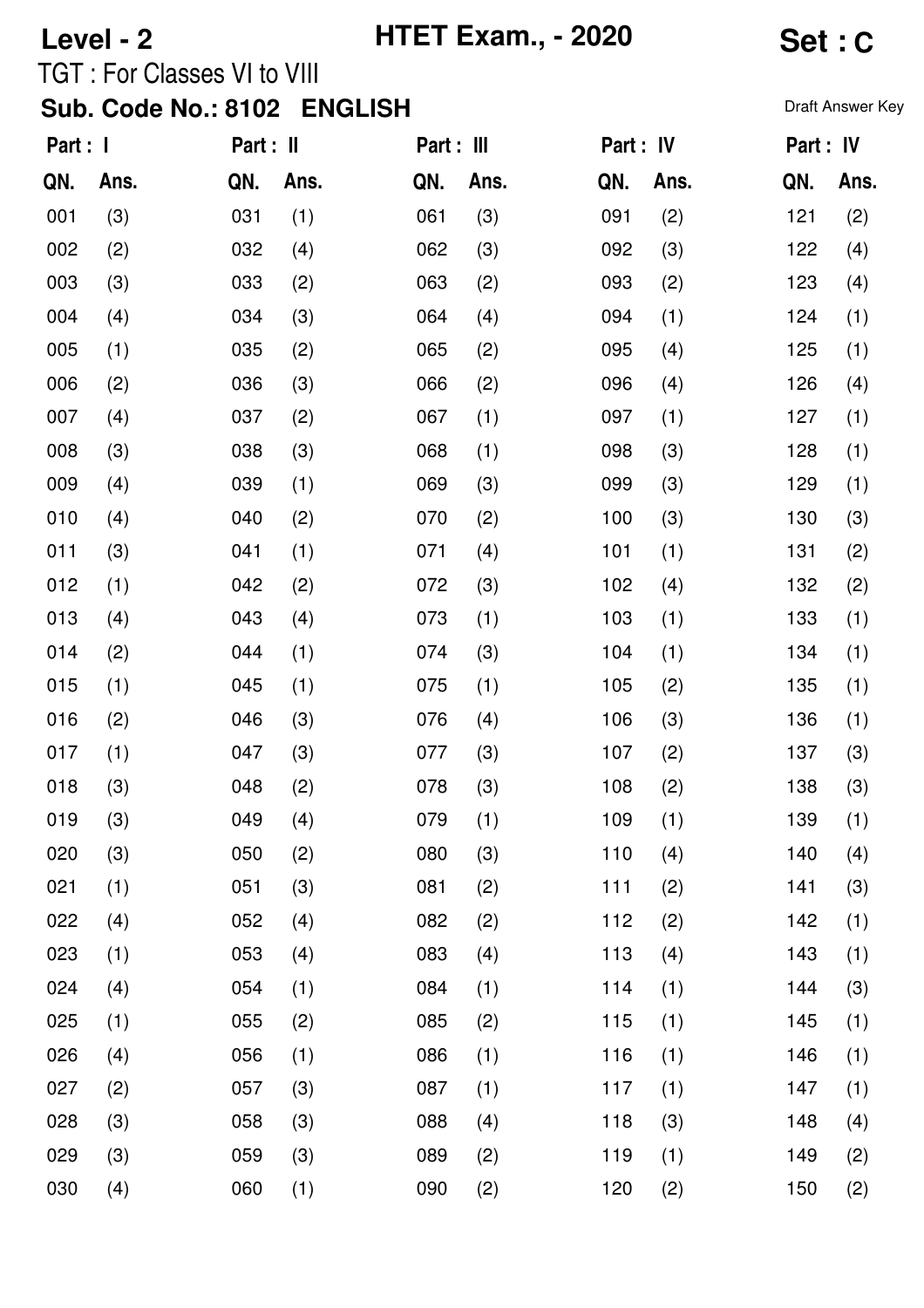#### **Level - 2 HTET Exam., - 2020 Set : C** TGT : For Classes VI to VIII

### Sub. Code No.: 8102 ENGLISH **Sub. Code No.: 8102 ENGLISH**

| Part : I |      | Part : II |      | Part : III |      | Part : IV |      | Part : IV |      |
|----------|------|-----------|------|------------|------|-----------|------|-----------|------|
| QN.      | Ans. | QN.       | Ans. | QN.        | Ans. | QN.       | Ans. | QN.       | Ans. |
| 001      | (3)  | 031       | (1)  | 061        | (3)  | 091       | (2)  | 121       | (2)  |
| 002      | (2)  | 032       | (4)  | 062        | (3)  | 092       | (3)  | 122       | (4)  |
| 003      | (3)  | 033       | (2)  | 063        | (2)  | 093       | (2)  | 123       | (4)  |
| 004      | (4)  | 034       | (3)  | 064        | (4)  | 094       | (1)  | 124       | (1)  |
| 005      | (1)  | 035       | (2)  | 065        | (2)  | 095       | (4)  | 125       | (1)  |
| 006      | (2)  | 036       | (3)  | 066        | (2)  | 096       | (4)  | 126       | (4)  |
| 007      | (4)  | 037       | (2)  | 067        | (1)  | 097       | (1)  | 127       | (1)  |
| 008      | (3)  | 038       | (3)  | 068        | (1)  | 098       | (3)  | 128       | (1)  |
| 009      | (4)  | 039       | (1)  | 069        | (3)  | 099       | (3)  | 129       | (1)  |
| 010      | (4)  | 040       | (2)  | 070        | (2)  | 100       | (3)  | 130       | (3)  |
| 011      | (3)  | 041       | (1)  | 071        | (4)  | 101       | (1)  | 131       | (2)  |
| 012      | (1)  | 042       | (2)  | 072        | (3)  | 102       | (4)  | 132       | (2)  |
| 013      | (4)  | 043       | (4)  | 073        | (1)  | 103       | (1)  | 133       | (1)  |
| 014      | (2)  | 044       | (1)  | 074        | (3)  | 104       | (1)  | 134       | (1)  |
| 015      | (1)  | 045       | (1)  | 075        | (1)  | 105       | (2)  | 135       | (1)  |
| 016      | (2)  | 046       | (3)  | 076        | (4)  | 106       | (3)  | 136       | (1)  |
| 017      | (1)  | 047       | (3)  | 077        | (3)  | 107       | (2)  | 137       | (3)  |
| 018      | (3)  | 048       | (2)  | 078        | (3)  | 108       | (2)  | 138       | (3)  |
| 019      | (3)  | 049       | (4)  | 079        | (1)  | 109       | (1)  | 139       | (1)  |
| 020      | (3)  | 050       | (2)  | 080        | (3)  | 110       | (4)  | 140       | (4)  |
| 021      | (1)  | 051       | (3)  | 081        | (2)  | 111       | (2)  | 141       | (3)  |
| 022      | (4)  | 052       | (4)  | 082        | (2)  | 112       | (2)  | 142       | (1)  |
| 023      | (1)  | 053       | (4)  | 083        | (4)  | 113       | (4)  | 143       | (1)  |
| 024      | (4)  | 054       | (1)  | 084        | (1)  | 114       | (1)  | 144       | (3)  |
| 025      | (1)  | 055       | (2)  | 085        | (2)  | 115       | (1)  | 145       | (1)  |
| 026      | (4)  | 056       | (1)  | 086        | (1)  | 116       | (1)  | 146       | (1)  |
| 027      | (2)  | 057       | (3)  | 087        | (1)  | 117       | (1)  | 147       | (1)  |
| 028      | (3)  | 058       | (3)  | 088        | (4)  | 118       | (3)  | 148       | (4)  |
| 029      | (3)  | 059       | (3)  | 089        | (2)  | 119       | (1)  | 149       | (2)  |
| 030      | (4)  | 060       | (1)  | 090        | (2)  | 120       | (2)  | 150       | (2)  |